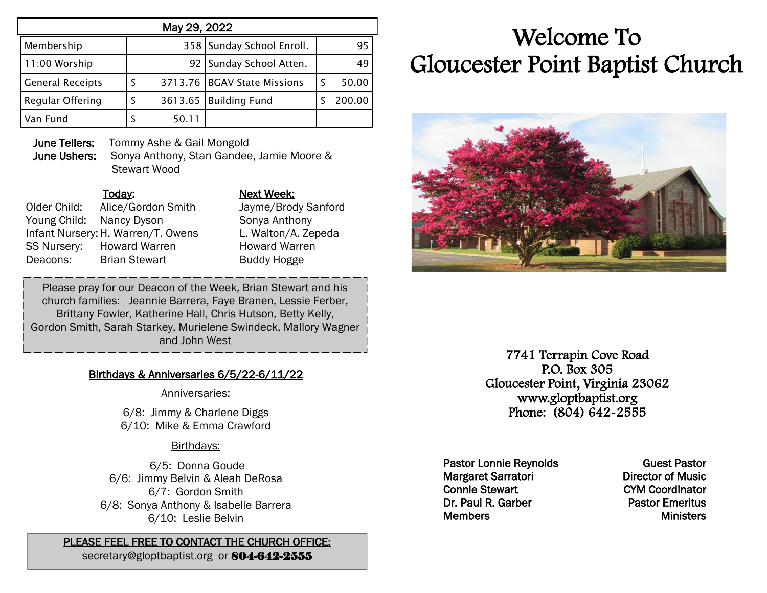| May 29, 2022            |  |       |                               |   |        |  |  |  |
|-------------------------|--|-------|-------------------------------|---|--------|--|--|--|
| Membership              |  |       | 358 Sunday School Enroll.     |   | 95     |  |  |  |
| 11:00 Worship           |  |       | 92   Sunday School Atten.     |   | 49     |  |  |  |
| <b>General Receipts</b> |  |       | 3713.76   BGAV State Missions | S | 50.00  |  |  |  |
| Regular Offering        |  |       | 3613.65   Building Fund       |   | 200.00 |  |  |  |
| Van Fund                |  | 50.11 |                               |   |        |  |  |  |

**June Tellers:** Tommy Ashe & Gail Mongold June Ushers: Sonya Anthony, Stan Gandee, Jamie Moore & Stewart Wood

Older Child: Alice/Gordon Smith Jayme/Brody Sanford Young Child: Nancy Dyson Sonya Anthony Infant Nursery:H. Warren/T. Owens L. Walton/A. Zepeda SS Nursery: Howard Warren **Howard Warren** Deacons: Brian Stewart Buddy Hogge

## Today: Next Week:

Please pray for our Deacon of the Week, Brian Stewart and his church families: Jeannie Barrera, Faye Branen, Lessie Ferber, Brittany Fowler, Katherine Hall, Chris Hutson, Betty Kelly, Gordon Smith, Sarah Starkey, Murielene Swindeck, Mallory Wagner and John West

# Birthdays & Anniversaries 6/5/22-6/11/22

#### Anniversaries:

6/8: Jimmy & Charlene Diggs 6/10: Mike & Emma Crawford ֧֞֝֬֝֬֝֬֝֬֝֬֝֬֝֬֝֬֝֬֝<del>֖</del>

# Birthdays:

6/5: Donna Goude 6/6: Jimmy Belvin & Aleah DeRosa 6/7: Gordon Smith 6/8: Sonya Anthony & Isabelle Barrera 6/10: Leslie Belvin

### PLEASE FEEL FREE TO CONTACT THE CHURCH OFFICE:

secretary@gloptbaptist.org or 804-642-2555

# Welcome To Gloucester Point Baptist Church



7741 Terrapin Cove Road P.O. Box 305 Gloucester Point, Virginia 23062 www.gloptbaptist.org Phone: (804) 642-2555

Pastor Lonnie Reynolds Margaret Sarratori Connie Stewart Dr. Paul R. Garber **Members** 

Guest Pastor Director of Music CYM Coordinator Pastor Emeritus **Ministers**